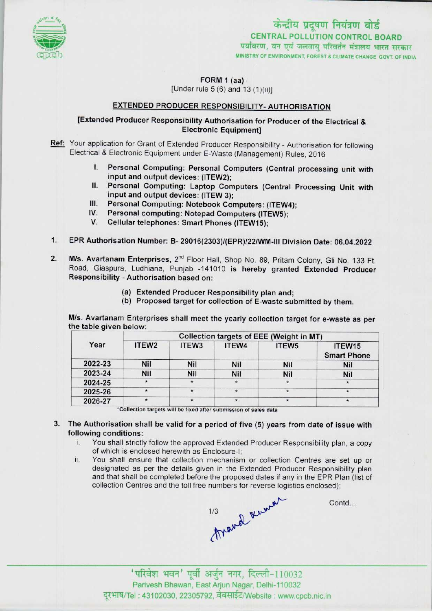

केन्द्रीय प्रदूषण नियंत्रण बोर्ड CENTRAL POLLUTION CONTROL BOARDपर्यावरण, वन एवं जलवाय परिवर्तन मंत्रालय भारत सरकार MINISTRY OF ENVIRONMENT, FOREST & CLIMATE CHANGE GOVT. OF INDIA

FORM 1 (aa)

[Under rule 5 (6) and 13 (1)(ii)]

# EXTENDED PRODUCER RESPONSIBILITY- AUTHORISATION

## [Extended Producer Responsibility Authorisation for Producer of the Electrical & Electronic Equipment]

Ref: Your application for Grant of Extended Producer Responsibility - Authorisation for following Electrical & Electronic Equipment under E-Waste (Management) Rules, 2016

- I. Personal Computing: Personal Computers (Central processing unit with input and output devices: (ITEW2);
- II. Personal Computing: Laptop Computers (Central Processing Unit with input and output devices: (ITEW 3); II. Personal Computing: Laptop Computers (Central<br>
III. Personal Computing: Notebook Computers: (ITEW4)<br>
Notebook Computers: (ITEW4)
- III. Personal Computing: Notebook Computers: (ITEW<br>IV. Personal computing: Notepad Computers (ITEW5);<br>V. Collular telephone on the Computers (ITEW5); III. Personal Computing: Notebook Computers: (ITEW4<br>IV. Personal computing: Notepad Computers (ITEW5):
- 
- 
- 1.EPR Authorisation Number: B- 29016(2303)/(EPR)/22/WM-lll Division Date: 06.04.2022
- 2. M/s. Avartanam Enterprises, 2<sup>nd</sup> Floor Hall, Shop No. 89, Pritam Colony, Gli No. 133 Ft. Road, Giaspura, Ludhiana, Punjab -141010 is hereby granted Extended Producer Responsibility -Authorisation based on:
	- (a)Extended Producer Responsibility plan and;
	- (b) Proposed target for collection of E-waste submitted by them.

M/s. Avartanam Enterprises shall meet the yearly collection target for e-waste as per the table given below:

| Year    | Collection targets of EEE (Weight in MT) |                   |            |                   |                                          |
|---------|------------------------------------------|-------------------|------------|-------------------|------------------------------------------|
|         | ITEW <sub>2</sub>                        | ITEW <sub>3</sub> | ITEW4      | ITEW <sub>5</sub> | ITEW <sub>15</sub><br><b>Smart Phone</b> |
| 2022-23 | Nil                                      | Nil               | <b>Nil</b> | <b>Nil</b>        | Nil                                      |
| 2023-24 | Nil                                      | Nil               | Nil        | <b>Nil</b>        | <b>Nil</b>                               |
| 2024-25 | $\star$                                  |                   |            | $\star$           |                                          |
| 2025-26 | $\star$                                  | $\star$           | $\star$    | $\star$           | $\star$                                  |
| 2026-27 |                                          | $\star$           | $\star$    | $\star$           |                                          |

'Collection targets will be fixed after submission of sales data

### 3. The Authorisation shall be valid for a period of five (5) years from date of issue with following conditions:

- i. You shall strictly follow the approved Extended Producer Responsibility plan, <sup>a</sup> copy of which is enclosed herewith as Enclosure-I;
- ii. You shall ensure that collection mechanism or collection Centres are set up or designated as per the details given in the Extended Producer Responsibility plan and that shall be completed before the proposed dates if any in the EPR Plan (list of collection Centres and the toll free numbers for reverse logistics enclosed);



Contd...

Parivesh Bhawan, East Arjun Nagar, Delhi-110032 दूरभाष/Tel : 43102030, 22305792, वेबसाईट/Website : www.cpcb.nic.in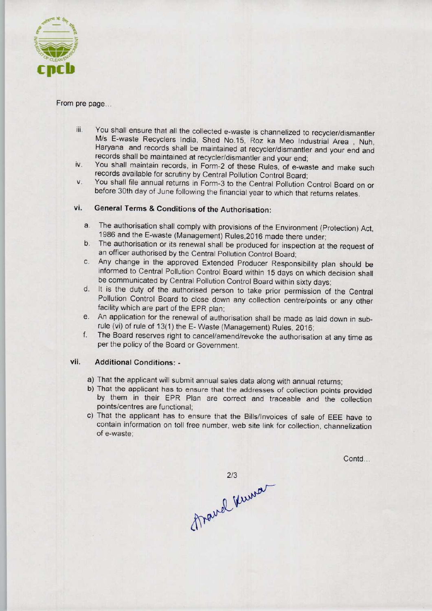

#### From pre page...

- iii. You shall ensure that all the collected e-waste is channelized to recycler/dismantler M/s E-waste Recyclers India, Shed No.15, Roz ka Meo Industrial Area , Nuh, Haryana and records shall be maintained at recycler/dismantler and your end and records shall be maintained at recycler/dismantler and your end;
- iv. You shall maintain records, in Form-2 of these Rules, of e-waste and make such records available for scrutiny by Central Pollution Control Board;
- v. You shall file annual returns in Form-3 to the Central Pollution Control Board on or before 30th day of June following the financial year to which that returns relates.

# vi. General Terms & Conditions of the Authorisation:

- a. The authorisation shall comply with provisions of the Environment (Protection) Act, 1986 and the E-waste (Management) Rules,2016 made there under;
- b.The authorisation or its renewal shall be produced for inspection at the request of an officer authorised by the Central Pollution Control Board;
- c.Any change in the approved Extended Producer Responsibility plan should be informed to Central Pollution Control Board within 15 days on which decision shall be communicated by Central Pollution Control Board within sixty days;
- d. It is the duty of the authorised person to take prior permission of the Central Pollution Control Board to close down any collection centre/points or any other facility which are part of the EPR plan;
- e. An application for the renewal of authorisation shall be made as laid down in subrule (vi) of rule of 13(1) the E-Waste (Management) Rules, 2016;
- f. The Board reserves right to cancel/amend/revoke the authorisation at any time as per the policy of the Board or Government.

### vii. Additional Conditions: -

- a) That the applicant will submit annual sales data along with annual returns;
- b) That the applicant has to ensure that the addresses of collection points provided by them in their EPR Plan are correct and traceable and the collection points/centres are functional;
- c)That the applicant has to ensure that the Bills/Invoices of sale of EEE have to contain information on toll free number, web site link for collection, channelization of e-waste;

Contd...

Thand Kuma